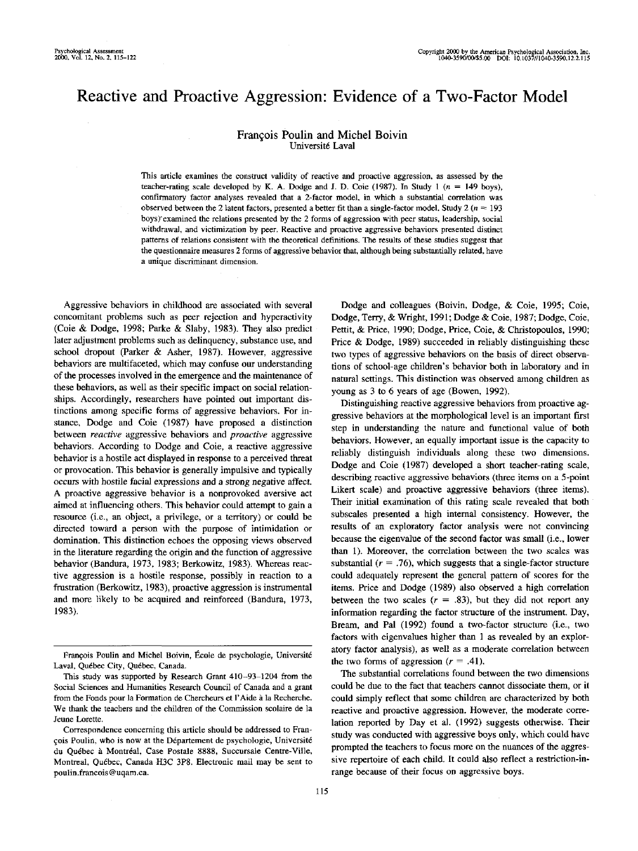# Reactive and Proactive Aggression: Evidence of a Two-Factor Model

# Francois Poulin and Michel Boivin Université Laval

This article examines the construct validity of reactive and proactive aggression, as assessed by the teacher-rating scale developed by K. A. Dodge and J. D. Coie (1987). In Study 1 ( $n = 149$  boys), confirmatory factor analyses revealed that a 2-factor model, in which a substantial correlation was observed between the 2 latent factors, presented a better fit than a single-factor model. Study  $2(n=193)$ boys)"examined the relations presented by the 2 forms of aggression with peer status, leadership, social withdrawal, and victimization by peer. Reactive and proactive aggressive behaviors presented distinct patterns of relations consistent with the theoretical definitions. The results of these studies suggest that the questionnaire measures 2 forms of aggressive behavior that, although being substantially related, have a unique discriminant dimension.

Aggressive behaviors in childhood are associated with several concomitant problems such as peer rejection and hyperactivity (Coie & Dodge, 1998; Parke & Slaby, 1983). They also predict later adjustment problems such as delinquency, substance use, and school dropout (Parker & Asher, 1987). However, aggressive behaviors are multifaceted, which may confuse our understanding of the processes involved in the emergence and the maintenance of these behaviors, as well as their specific impact on social relationships. Accordingly, researchers have pointed out important distinctions among specific forms of aggressive behaviors. For instance, Dodge and Coie (1987) have proposed a distinction between *reactive* aggressive behaviors and *proactive* aggressive behaviors. According to Dodge and Coie, a reactive aggressive behavior is a hostile act displayed in response to a perceived threat or provocation. This behavior is generally impulsive and typically occurs with hostile facial expressions and a strong negative affect. A proactive aggressive behavior is a nonprovoked aversive act aimed at influencing others. This behavior could attempt to gain a resource (i.e., an object, a privilege, or a territory) or could be directed toward a person with the purpose of intimidation or domination. This distinction echoes the opposing views observed in the literature regarding the origin and the function of aggressive behavior (Bandura, 1973, 1983; Berkowitz, 1983). Whereas reactive aggression is a hostile response, possibly in reaction to a frustration (Berkowitz, 1983), proactive aggression is instrumental and more likely to be acquired and reinforced (Bandura, 1973, 1983).

Dodge and colleagues (Boivin, Dodge, & Coie, 1995; Coie, Dodge, Terry, & Wright, 1991; Dodge & Coie, 1987; Dodge, Coie, Pettit, & Price, 1990; Dodge, Price, Coie, & Christopoulos, 1990; Price & Dodge, 1989) succeeded in reliably distinguishing these two types of aggressive behaviors on the basis of direct observations of school-age children's behavior both in laboratory and in natural settings. This distinction was observed among children as young as 3 to 6 years of age (Bowen, 1992).

Distinguishing reactive aggressive behaviors from proactive aggressive behaviors at the morphological level is an important first step in understanding the nature and functional value of both behaviors. However, an equally important issue is the capacity to reliably distinguish individuals along these two dimensions. Dodge and Coie (1987) developed a short teacher-rating scale, describing reactive aggressive behaviors (three items on a 5-point Likert scale) and proactive aggressive behaviors (three items). Their initial examination of this rating scale revealed that both subscales presented a high internal consistency. However, the results of an exploratory factor analysis were not convincing because the eigenvalue of the second factor was small (i.e., lower than 1). Moreover, the correlation between the two scales was substantial ( $r = .76$ ), which suggests that a single-factor structure could adequately represent the general pattern of scores for the items. Price and Dodge (1989) also observed a high correlation between the two scales  $(r = .83)$ , but they did not report any information regarding the factor structure of the instrument. Day, Bream, and Pal (1992) found a two-factor structure (i.e., two factors with eigenvalues higher than 1 as revealed by an exploratory factor analysis), as well as a moderate correlation between the two forms of aggression  $(r = .41)$ .

The substantial correlations found between the two dimensions could be due to the fact that teachers cannot dissociate them, or it could simply reflect that some children are characterized by both reactive and proactive aggression. However, the moderate correlation reported by Day et al. (1992) suggests otherwise. Their study was conducted with aggressive boys only, which could have prompted the teachers to focus more on the nuances of the aggressive repertoire of each child. It could also reflect a restriction-inrange because of their focus on aggressive boys.

François Poulin and Michel Boivin, École de psychologie, Université Laval, Québec City, Québec, Canada.

This study was supported by Research Grant 410-93-1204 from the Social Sciences and Humanities Research Council of Canada and a grant from the Fonds pour la Formation de Chercheurs et 1'Aide a la Recherche. We thank the teachers and the children of the Commission scolaire de la Jeune Lorette.

Correspondence concerning this article should be addressed to François Poulin, who is now at the Département de psychologie, Université du Québec à Montréal, Case Postale 8888, Succursale Centre-Ville, Montreal, Quebec, Canada H3C 3P8. Electronic mail may be sent to poulin.francois@uqam.ca.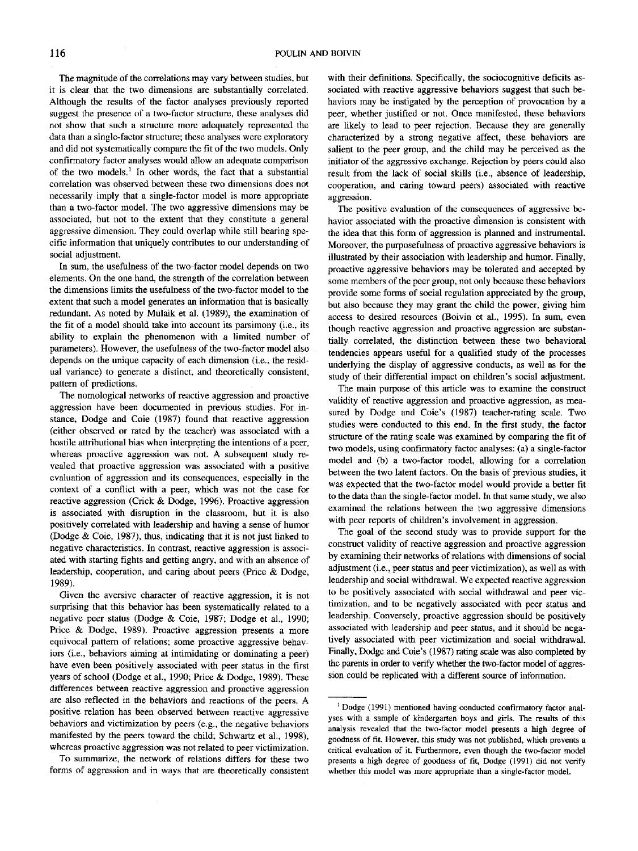The magnitude of the correlations may vary between studies, but it is clear that the two dimensions are substantially correlated. Although the results of the factor analyses previously reported suggest the presence of a two-factor structure, these analyses did not show that such a structure more adequately represented the data than a single-factor structure; these analyses were exploratory and did not systematically compare the fit of the two models. Only confirmatory factor analyses would allow an adequate comparison of the two models.<sup>1</sup> In other words, the fact that a substantial correlation was observed between these two dimensions does not necessarily imply that a single-factor model is more appropriate than a two-factor model. The two aggressive dimensions may be associated, but not to the extent that they constitute a general aggressive dimension. They could overlap while still bearing specific information that uniquely contributes to our understanding of social adjustment.

In sum, the usefulness of the two-factor model depends on two elements. On the one hand, the strength of the correlation between the dimensions limits the usefulness of the two-factor model to the extent that such a model generates an information that is basically redundant. As noted by Mulaik et al. (1989). the examination of the fit of a model should take into account its parsimony (i.e., its ability to explain the phenomenon with a limited number of parameters). However, the usefulness of the two-factor model also depends on the unique capacity of each dimension (i.e., the residual variance) to generate a distinct, and theoretically consistent, pattern of predictions.

The nomological networks of reactive aggression and proactive aggression have been documented in previous studies. For instance. Dodge and Coie (1987) found that reactive aggression (either observed or rated by the teacher) was associated with a hostile attributional bias when interpreting the intentions of a peer, whereas proactive aggression was not. A subsequent study revealed that proactive aggression was associated with a positive evaluation of aggression and its consequences, especially in the context of a conflict with a peer, which was not the case for reactive aggression (Crick & Dodge, 1996). Proactive aggression is associated with disruption in the classroom, but it is also positively correlated with leadership and having a sense of humor (Dodge & Coie, 1987), thus, indicating that it is not just linked to negative characteristics. In contrast, reactive aggression is associated with starting fights and getting angry, and with an absence of leadership, cooperation, and caring about peers (Price *&* Dodge, 1989).

Given the aversive character of reactive aggression, it is not surprising that this behavior has been systematically related to a negative peer status (Dodge & Coie, 1987; Dodge et al., 1990; Price & Dodge, 1989). Proactive aggression presents a more equivocal pattern of relations; some proactive aggressive behaviors (i.e., behaviors aiming at intimidating or dominating a peer) have even been positively associated with peer status in the first years of school (Dodge et al., 1990; Price & Dodge, 1989). These differences between reactive aggression and proactive aggression are also reflected in the behaviors and reactions of the peers. A positive relation has been observed between reactive aggressive behaviors and victimization by peers (e.g., the negative behaviors manifested by the peers toward the child; Schwartz et al., 1998), whereas proactive aggression was not related to peer victimization.

To summarize, the network of relations differs for these two forms of aggression and in ways that are theoretically consistent with their definitions. Specifically, the sociocognitive deficits associated with reactive aggressive behaviors suggest that such behaviors may be instigated by the perception of provocation by a peer, whether justified or not. Once manifested, these behaviors are likely to lead to peer rejection. Because they are generally characterized by a strong negative affect, these behaviors are salient to the peer group, and the child may be perceived as the initiator of the aggressive exchange. Rejection by peers could also result from the lack of social skills (i.e., absence of leadership, cooperation, and caring toward peers) associated with reactive aggression.

The positive evaluation of the consequences of aggressive behavior associated with the proactive dimension is consistent with the idea that this form of aggression is planned and instrumental. Moreover, the purposefulness of proactive aggressive behaviors is illustrated by their association with leadership and humor. Finally, proactive aggressive behaviors may be tolerated and accepted by some members of the peer group, not only because these behaviors provide some forms of social regulation appreciated by the group, but also because they may grant the child the power, giving him access to desired resources (Boivin et al., 1995). In sum, even though reactive aggression and proactive aggression are substantially correlated, the distinction between these two behavioral tendencies appears useful for a qualified study of the processes underlying the display of aggressive conducts, as well as for the study of their differential impact on children's social adjustment.

The main purpose of this article was to examine the construct validity of reactive aggression and proactive aggression, as measured by Dodge and Coie's (1987) teacher-rating scale. Two studies were conducted to this end. In the first study, the factor structure of the rating scale was examined by comparing the fit of two models, using confirmatory factor analyses: (a) a single-factor model and (b) a two-factor model, allowing for a correlation between the two latent factors. On the basis of previous studies, it was expected that the two-factor model would provide a better fit to the data than the single-factor model. In that same study, we also examined the relations between the two aggressive dimensions with peer reports of children's involvement in aggression.

The goal of the second study was to provide support for the construct validity of reactive aggression and proactive aggression by examining their networks of relations with dimensions of social adjustment (i.e., peer status and peer victimization), as well as with leadership and social withdrawal. We expected reactive aggression to be positively associated with social withdrawal and peer victimization, and to be negatively associated with peer status and leadership. Conversely, proactive aggression should be positively associated with leadership and peer status, and it should be negatively associated with peer victimization and social withdrawal. Finally, Dodge and Coie's (1987) rating scale was also completed by the parents in order to verify whether the two-factor model of aggression could be replicated with a different source of information.

 $1$  Dodge (1991) mentioned having conducted confirmatory factor analyses with a sample of kindergarten boys and girls. The results of this analysis revealed that the two-factor model presents a high degree of goodness of fit. However, this study was not published, which prevents a critical evaluation of it. Furthermore, even though the two-factor model presents a high degree of goodness of fit. Dodge (1991) did not verify whether this model was more appropriate than a single-factor model.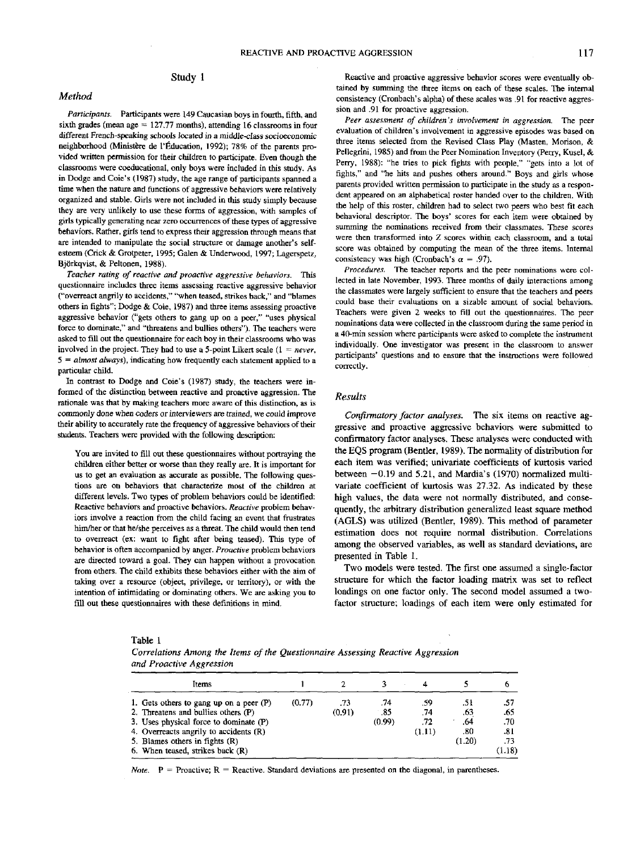# Study 1

#### *Method*

*Participants.* Participants were 149 Caucasian boys in fourth, fifth, and sixth grades (mean age  $= 127.77$  months), attending 16 classrooms in four different French-speaking schools located in a middle-class socioeconomic neighborhood (Ministere de I'Education, 1992); 78% of the parents provided written permission for their children to participate. Even though the classrooms were coeducational, only boys were included in this study. As in Dodge and Coie's (1987) study, the age range of participants spanned a time when the nature and functions of aggressive behaviors were relatively organized and stable. Girls were not included in this study simply because they are very unlikely to use these forms of aggression, with samples of girls typically generating near zero occurrences of these types of aggressive behaviors. Rather, girls tend to express their aggression through means that are intended to manipulate the social structure or damage another's selfesteem (Crick & Grotpeter, 1995; Galen & Underwood, 1997; Lagerspetz, Bjorkqvist, *&* Peltonen, 1988).

*Teacher rating of reactive and proactive aggressive behaviors.* This questionnaire includes three items assessing reactive aggressive behavior ("overreact angrily to accidents," "when teased, strikes back," and "blames others in fights"; Dodge & Coie, 1987) and three items assessing proactive aggressive behavior ("gets others to gang up on a peer," "uses physical force to dominate," and "threatens and bullies others"). The teachers were asked to fill out the questionnaire for each boy in their classrooms who was involved in the project. They had to use a 5-point Likert scale (1 = *never, 5 = almost always),* indicating how frequently each statement applied to a particular child.

In contrast to Dodge and Coie's (1987) study, the teachers were informed of the distinction between reactive and proactive aggression. The rationale was that by making teachers more aware of this distinction, as is commonly done when coders or interviewers are trained, we could improve their ability to accurately rate the frequency of aggressive behaviors of their students. Teachers were provided with the following description:

You are invited to fill out these questionnaires without portraying the children either better or worse than they really are. It is important for us to get an evaluation as accurate as possible. The following questions are on behaviors that characterize most of the children at different levels. Two types of problem behaviors could be identified; Reactive behaviors and proactive behaviors. *Reactive* problem behaviors involve a reaction from the child facing an event that frustrates him/her or that he/she perceives as a threat. The child would then tend to overreact (ex: want to fight after being teased). This type of behavior is often accompanied by anger. *Proactive* problem behaviors are directed toward a goal. They can happen without a provocation from others. The child exhibits these behaviors either with the aim of taking over a resource (object, privilege, or territory), or with the intention of intimidating or dominating others. We are asking you to fill out these questionnaires with these definitions in mind.

Reactive and proactive aggressive behavior scores were eventually obtained by summing the three items on each of these scales. The internal consistency (Cronbach's alpha) of these scales was .91 for reactive aggression and .91 for proactive aggression.

*Peer assessment of children's involvement in aggression.* The peer evaluation of children's involvement in aggressive episodes was based on three items selected from the Revised Class Play (Masten, Morison, & Pellegrini, 1985) and from the Peer Nomination Inventory (Perry, Kusel, & Perry, 1988): "he tries to pick fights with people," "gets into a lot of fights," and "he hits and pushes others around," Boys and girls whose parents provided written permission to participate in the study as a respondent appeared on an alphabetical roster handed over to the children. With the help of this roster, children had to select two peers who best fit each behavioral descriptor. The boys' scores for each item were obtained by summing the nominations received from their classmates. These scores were then transformed into *Z* scores within each classroom, and a total score was obtained by computing the mean of the three items. Internal consistency was high (Cronbach's  $\alpha = .97$ ).

*Procedures.* The teacher reports and the peer nominations were collected in late November, 1993. Three months of daily interactions among the classmates were largely sufficient to ensure that the teachers and peers could base their evaluations on a sizable amount of social behaviors. Teachers were given 2 weeks to fill out the questionnaires. The peer nominations data were collected in the classroom during the same period in a 40-min session where participants were asked to complete the instrument individually. One investigator was present in the classroom to answer participants' questions and to ensure that the instructions were followed correctly.

#### *Results*

*Confirmatory factor analyses.* The six items on reactive aggressive and proactive aggressive behaviors were submitted to confirmatory factor analyses. These analyses were conducted with the EQS program (Bentler, 1989), The normality of distribution for each item was verified; univariate coefficients of kurtosis varied between  $-0.19$  and 5.21, and Mardia's (1970) normalized multivariate coefficient of kurtosis was 27.32. As indicated by these high values, the data were not normally distributed, and consequently, the arbitrary distribution generalized least square method (AGLS) was utilized (Bentler, 1989). This method of parameter estimation does not require normal distribution. Correlations among the observed variables, as well as standard deviations, are presented in Table 1.

Two models were tested. The first one assumed a single-factor structure for which the factor loading matrix was set to reflect loadings on one factor only. The second model assumed a twofactor structure; loadings of each item were only estimated for

|--|--|

*Correlations Among the Items of the Questionnaire Assessing Reactive Aggression and Proactive Aggression*

| Items                                                                                                                                                                                                                                          |        |               |                      |                             |                                     |                                                        |
|------------------------------------------------------------------------------------------------------------------------------------------------------------------------------------------------------------------------------------------------|--------|---------------|----------------------|-----------------------------|-------------------------------------|--------------------------------------------------------|
| 1. Gets others to gang up on a peer $(P)$<br>2. Threatens and bullies others (P)<br>3. Uses physical force to dominate (P)<br>4. Overreacts angrily to accidents (R)<br>5. Blames others in fights $(R)$<br>6. When teased, strikes back $(R)$ | (0.77) | .73<br>(0.91) | .74<br>-85<br>(0.99) | .59<br>.74<br>.72<br>(1.11) | .5 l<br>.63<br>.64<br>.80<br>(1.20) | .57<br>.65<br>.70<br>.81<br>.73 <sub>1</sub><br>(1.18) |

*Note.*  $P =$  Proactive;  $R =$  Reactive. Standard deviations are presented on the diagonal, in parentheses.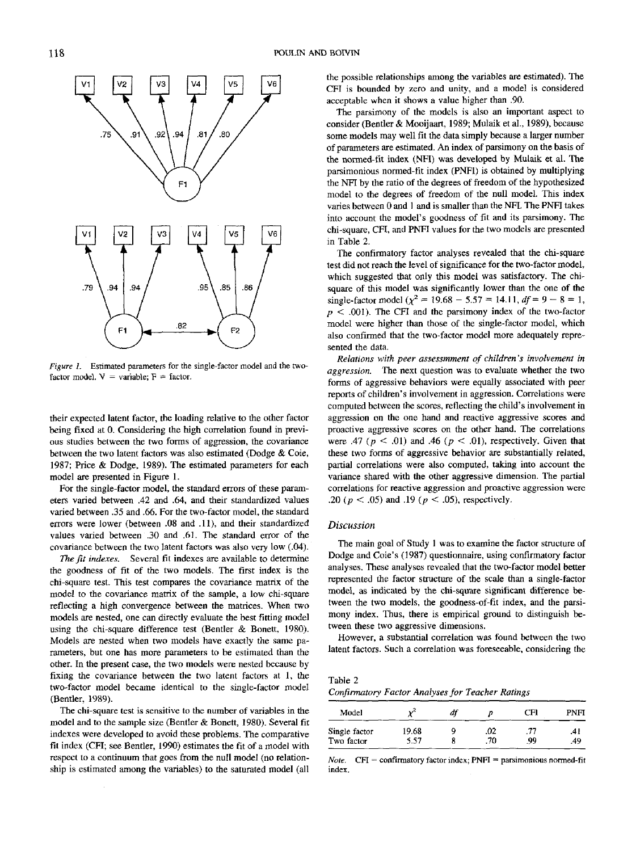

*Figure L* Estimated parameters for the single-factor model and the twofactor model.  $V = \text{variable}$ ;  $F = \text{factor}$ .

their expected latent factor, the loading relative to the other factor being fixed at 0. Considering the high correlation found in previous studies between the two forms of aggression, the covariance between the two latent factors was also estimated (Dodge & Coie, 1987; Price & Dodge, 1989). The estimated parameters for each model are presented in Figure 1.

For the single-factor model, the standard errors of these parameters varied between .42 and .64, and their standardized values varied between .35 and .66. For the two-factor model, the standard errors were lower (between .08 and .11), and their standardized values varied between .30 and .61. The standard error of the covariance between the two latent factors was also very low (.04).

*The fit indexes.* Several fit indexes are available to determine the goodness of fit of the two models. The first index is the chi-square test. This test compares the covariance matrix of the model to the covariance matrix of the sample, a low chi-square reflecting a high convergence between the matrices. When two models are nested, one can directly evaluate the best fitting model using the chi-square difference test (Bentler & Bonett, 1980). Models are nested when two models have exactly the same parameters, but one has more parameters to be estimated than the other. In the present case, the two models were nested because by fixing the covariance between the two latent factors at 1, the two-factor model became identical to the single-factor model (Bentler, 1989).

The chi-square test is sensitive to the number of variables in the model and to the sample size (Bentler & Bonett, 1980). Several fit indexes were developed to avoid these problems. The comparative fit index (CFI; see Bentler, 1990) estimates the fit of a model with respect to a continuum that goes from the null model (no relationship is estimated among the variables) to the saturated model (all

the possible relationships among the variables are estimated). The CFI is bounded by zero and unity, and a model is considered acceptable when it shows a value higher than .90.

The parsimony of the models is also an important aspect to consider (Bentler & Mooijaart, 1989; Mulaik et al., 1989), because some models may well fit the data simply because a larger number of parameters are estimated. An index of parsimony on the basis of the normed-fit index (NFI) was developed by Mulaik et al. The parsimonious normed-fit index (PNFI) is obtained by multiplying the NFI by the ratio of the degrees of freedom of the hypothesized model to the degrees of freedom of the null model. This index varies between 0 and 1 and is smaller than the NFI. The PNFI takes into account the model's goodness of fit and its parsimony. The chi-square, CFI, and PNFI values for the two models are presented in Table 2.

The confirmatory factor analyses revealed that the chi-square test did not reach the level of significance for the two-factor model, which suggested that only this model was satisfactory. The chisquare of this model was significantly lower than the one of the square of this model was significantly lower than the one of the single-factor model  $(\chi^2 = 19.68 - 5.57 = 14.11, df = 9 - 8 = 1,$ *p <* .001). The CFI and the parsimony index of the two-factor model were higher than those of the single-factor model, which also confirmed that the two-factor model more adequately represented the data.

*Relations with peer assessmment of children's involvement in aggression.* The next question was to evaluate whether the two forms of aggressive behaviors were equally associated with peer reports of children's involvement in aggression. Correlations were computed between the scores, reflecting the child's involvement in aggression on the one hand and reactive aggressive scores and proactive aggressive scores on the other hand. The correlations were .47 ( $p < .01$ ) and .46 ( $p < .01$ ), respectively. Given that these two forms of aggressive behavior are substantially related, partial correlations were also computed, taking into account the variance shared with the other aggressive dimension. The partial correlations for reactive aggression and proactive aggression were .20 *(p <* .05) and .19 *(p <* .05), respectively.

### *Discussion*

The main goal of Study 1 was to examine the factor structure of Dodge and Coie's (1987) questionnaire, using confirmatory factor analyses. These analyses revealed that the two-factor model better represented the factor structure of the scale than a single-factor model, as indicated by the chi-square significant difference between the two models, the goodness-of-fit index, and the parsimony index. Thus, there is empirical ground to distinguish between these two aggressive dimensions.

However, a substantial correlation was found between the two latent factors. Such a correlation was foreseeable, considering the

Table 2

*Confirmatory Factor Analyses for Teacher Ratings*

| Model         | ىم د  | df |     | CFI | PNFI |
|---------------|-------|----|-----|-----|------|
| Single factor | 19.68 | ٥  | .02 | .77 | .41  |
| Two factor    | 5.57  |    | .70 | -99 | .49  |

*Note.*  $CFI = \text{confirmatory factor index; PNFI} = \text{paramonious normed-fit}$ **index.**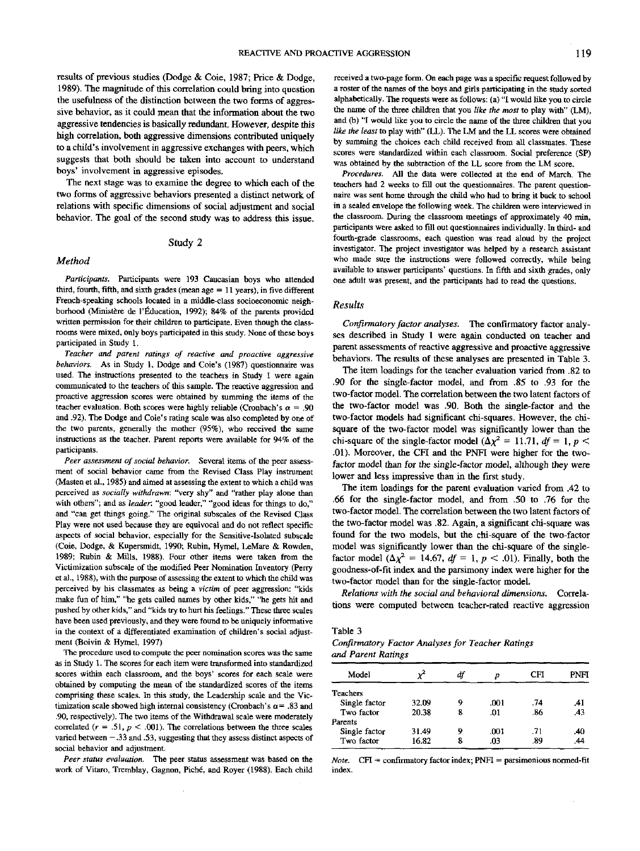results of previous studies (Dodge & Coie, 1987; Price & Dodge, 1989). The magnitude of this correlation could bring into question the usefulness of the distinction between the two forms of aggressive behavior, as it could mean that the information about the two aggressive tendencies is basically redundant. However, despite this high correlation, both aggressive dimensions contributed uniquely to a child's involvement in aggressive exchanges with peers, which suggests that both should be taken into account to understand boys' involvement in aggressive episodes.

The next stage was to examine the degree to which each of the two forms of aggressive behaviors presented a distinct network of relations with specific dimensions of social adjustment and social behavior. The goal of the second study was to address this issue.

# Study 2

# *Method*

*Participants.* Participants were 193 Caucasian boys who attended third, fourth, fifth, and sixth grades (mean age  $= 11$  years), in five different French-speaking schools located in a middle-class socioeconomic neighborhood (Ministère de l'Éducation, 1992); 84% of the parents provided written permission for their children to participate. Even though the classrooms were mixed, only boys participated in this study. None of these boys participated in Study 1.

*Teacher and parent ratings of reactive and proactive aggressive behaviors.* As in Study 1, Dodge and Coie's (1987) questionnaire was used. The instructions presented to the teachers in Study 1 were again communicated to the teachers of this sample. The reactive aggression and proactive aggression scores were obtained by summing the items of the teacher evaluation. Both scores were highly reliable (Cronbach's  $\alpha = .90$ ) and .92). The Dodge and Coie's rating scale was also completed by one of the two parents, generally the mother (95%), who received the same instructions as the teacher. Parent reports were available for 94% of the participants.

*Peer assessment of social behavior.* Several items of the peer assessment of social behavior came from the Revised Class Play instrument (Masten et al., 1985) and aimed at assessing the extent to which a child was perceived as *socially withdrawn:* "very shy" and "rather play alone than with others"; and as *leader*: "good leader," "good ideas for things to do." and "can get things going." The original subscales of the Revised Class Play were not used because they are equivocal and do not reflect specific aspects of social behavior, especially for the Sensitive-Isolated subscale (Coie, Dodge, & Kupersmidt, 1990; Rubin, Hymel, LeMare & Rowden, 1989; Rubin & Mills, 1988). Four other items were taken from the Victimization subscale of the modified Peer Nomination Inventory (Perry et al., 1988), with the purpose of assessing the extent to which the child was perceived by his classmates as being a *victim* of peer aggression: "kids make fun of him," "he gets called names by other kids," "he gets hit and pushed by other kids," and "kids try to hurt his feelings." These three scales have been used previously, and they were found to be uniquely informative in the context of a differentiated examination of children's social adjustment (Boivin & Hymel, 1997)

The procedure used to compute the peer nomination scores was the same as in Study 1. The scores for each item were transformed into standardized scores within each classroom, and the boys' scores for each scale were obtained by computing the mean of the standardized scores of the items comprising these scales. In this study, the Leadership scale and the Victimization scale showed high internal consistency (Cronbach's  $\alpha$  = .83 and .90, respectively). The two items of the Withdrawal scale were moderately correlated  $(r = .51, p < .001)$ . The correlations between the three scales varied between — .33 and .53, suggesting that they assess distinct aspects of social behavior and adjustment.

*Peer status evaluation.* The peer status assessment was based on the work of Vitaro, Tremblay, Gagnon, Piche', and Royer (1988). Each child received a two-page form. On each page was a specific request followed by a roster of the names of the boys and girls participating in the study sorted alphabetically. The requests were as follows: (a) "I would like you to circle the name of the three children that you *like the most* to play with" (LM), and (b) "I would like you to circle the name of the three children that you *like the least* to play with" (LL). The LM and the LL scores were obtained by summing the choices each child received ftom all classmates. These scores were standardized within each classroom. Social preference (SP) was obtained by the subtraction of the LL score from the LM score.

*Procedures.* All the data were collected at the end of March. The teachers had 2 weeks to fill out the questionnaires. The parent questionnaire was sent home through the child who had to bring it back to school in a sealed envelope the following week. The children were interviewed in the classroom. During the classroom meetings of approximately 40 min, participants were asked to fill out questionnaires individually. In third- and fourth-grade classrooms, each question was read aloud by the project investigator. The project investigator was helped by a research assistant who made sure the instructions were followed correcdy, while being available to answer participants' questions. In fifth and sixth grades, only one adult was present, and the participants had to read the questions.

## *Results*

*Confirmatory factor analyses.* The confirmatory factor analyses described in Study 1 were again conducted on teacher and parent assessments of reactive aggressive and proactive aggressive behaviors. The results of these analyses are presented in Table 3.

The item loadings for the teacher evaluation varied from .82 to .90 for the single-factor model, and from .85 to .93 for the two-factor model. The correlation between the two latent factors of the two-factor model was .90. Both the single-factor and the two-factor models had significant chi-squares. However, the chisquare of the two-factor model was significantly lower than the chi-square of the single-factor model ( $\Delta \chi^2 = 11.71$ ,  $df = 1$ ,  $p <$ .01). Moreover, the CFI and the PNFI were higher for the twofactor model than for the single-factor model, although they were lower and less impressive than in the first study.

The item loadings for the parent evaluation varied from .42 to .66 for the single-factor model, and from .50 to .76 for the two-factor model. The correlation between the two latent factors of the two-factor model was .82. Again, a significant chi-square was found for the two models, but the chi-square of the two-factor model was significantly lower than the chi-square of the singlefactor model  $(\Delta \chi^2 = 14.67, df = 1, p < .01)$ . Finally, both the goodness-of-fit index and the parsimony index were higher for the two-factor model than for the single-factor model.

*Relations with the social and behavioral dimensions.* Correlations were computed between teacher-rated reactive aggression

#### Table 3

*Confirmatory Factor Analyses for Teacher Ratings and Parent Ratings*

| Model           |       | df | D    | CFI | <b>PNFT</b> |
|-----------------|-------|----|------|-----|-------------|
| <b>Teachers</b> |       |    |      |     |             |
| Single factor   | 32.09 | 9  | .001 | .74 | .41         |
| Two factor      | 20.38 | 8  | .01  | .86 | .43         |
| Parents         |       |    |      |     |             |
| Single factor   | 31.49 | 9  | .001 | .71 | .40         |
| Two factor      | 16.82 | 8  | .03  | .89 | .44         |

*Note.* CFI = confirmatory factor index;  $PNFI =$  parsimonious normed-fit index.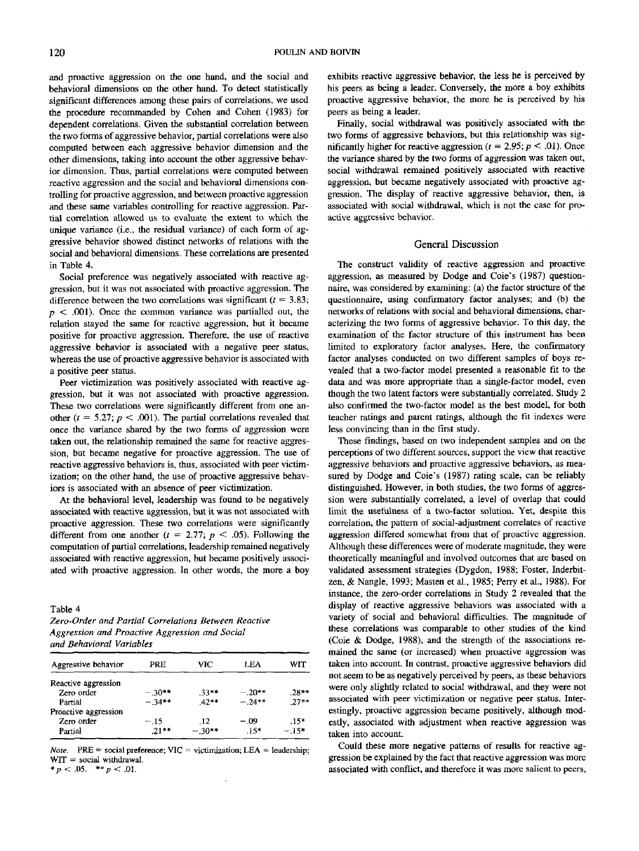and proactive aggression on the one hand, and the social and behavioral dimensions on the other hand. To detect statistically significant differences among these pairs of correlations, we used the procedure recommanded by Cohen and Cohen (1983) for dependent correlations. Given the substantial correlation between the two forms of aggressive behavior, partial correlations were also computed between each aggressive behavior dimension and the other dimensions, taking into account the other aggressive behavior dimension. Thus, partial correlations were computed between reactive aggression and the social and behavioral dimensions controlling for proactive aggression, and between proactive aggression and these same variables controlling for reactive aggression. Partial correlation allowed us to evaluate the extent to which the unique variance (i.e., the residual variance) of each form of aggressive behavior showed distinct networks of relations with the social and behavioral dimensions. These correlations are presented in Table 4.

Social preference was negatively associated with reactive aggression, but it was not associated with proactive aggression. The difference between the two correlations was significant  $(t = 3.83;$  $p < .001$ ). Once the common variance was partialled out, the relation stayed the same for reactive aggression, but it became positive for proactive aggression. Therefore, the use of reactive aggressive behavior is associated with a negative peer status, whereas the use of proactive aggressive behavior is associated with a positive peer status.

Peer victimization was positively associated with reactive aggression, but it was not associated with proactive aggression. These two correlations were significantly different from one another  $(t = 5.27; p < .001)$ . The partial correlations revealed that once the variance shared by the two forms of aggression were taken out, the relationship remained the same for reactive aggression, but became negative for proactive aggression. The use of reactive aggressive behaviors is, thus, associated with peer victimization; on the other hand, the use of proactive aggressive behaviors is associated with an absence of peer victimization.

At the behavioral level, leadership was found to be negatively associated with reactive aggression, but it was not associated with proactive aggression. These two correlations were significantly different from one another  $(t = 2.77; p < .05)$ . Following the computation of partial correlations, leadership remained negatively associated with reactive aggression, but became positively associated with proactive aggression. In other words, the more a boy

Table 4

*Zero-Order and Partial Correlations Between Reactive Aggression and Proactive Aggression and Social and Behavioral Variables*

| Aggressive behavior  | PRE      | VIC.     | LEA      | WIT     |
|----------------------|----------|----------|----------|---------|
| Reactive aggression  |          |          |          |         |
| Zero order           | $-.30**$ | $.33**$  | $-.20**$ | $.28**$ |
| Partial              | $-34**$  | $42**$   | $-.24**$ | $27**$  |
| Proactive aggression |          |          |          |         |
| Zero order           | $-.15$   | -12      | - 09     | $.15*$  |
| Partial              | $.21**$  | $-.30**$ | $.15*$   | $-.15*$ |

*Note.* PRE = social preference;  $VIC =$  victimization; LEA = leadership;  $WIT = social with drawal.$  $p < .05.$  \*\*  $p < .01.$ 

exhibits reactive aggressive behavior, the less he is perceived by his peers as being a leader. Conversely, the more a boy exhibits proactive aggressive behavior, the more he is perceived by his peers as being a leader.

Finally, social withdrawal was positively associated with the two forms of aggressive behaviors, but this relationship was significantly higher for reactive aggression *(t =* 2.95; *p <* .01). Once the variance shared by the two forms of aggression was taken out, social withdrawal remained positively associated with reactive aggression, but became negatively associated with proactive aggression. The display of reactive aggressive behavior, then, is associated with social withdrawal, which is not the case for proactive aggressive behavior.

### General Discussion

The construct validity of reactive aggression and proactive aggression, as measured by Dodge and Coie's (1987) questionnaire, was considered by examining; (a) the factor structure of the questionnaire, using confirmatory factor analyses; and (b) the networks of relations with social and behavioral dimensions, characterizing the two forms of aggressive behavior. To this day, the examination of the factor structure of this instrument has been limited to exploratory factor analyses. Here, the confirmatory factor analyses conducted on two different samples of boys revealed that a two-factor model presented a reasonable fit to the data and was more appropriate than a single-factor model, even though the two latent factors were substantially correlated. Study 2 also confirmed the two-factor model as the best model, for both teacher ratings and parent ratings, although the fit indexes were less convincing than in the first study.

These findings, based on two independent samples and on the perceptions of two different sources, support the view that reactive aggressive behaviors and proactive aggressive behaviors, as measured by Dodge and Coie's (1987) rating scale, can be reliably distinguished. However, in both studies, the two forms of aggression were substantially correlated, a level of overlap that could limit the usefulness of a two-factor solution. Yet, despite this correlation, the pattern of social-adjustment correlates of reactive aggression differed somewhat from that of proactive aggression. Although these differences were of moderate magnitude, they were theoretically meaningful and involved outcomes that are based on validated assessment strategies (Dygdon, 1988; Foster, Inderbitzen, & Nangle, 1993; Masten et al., 1985; Perry et al, 1988). For instance, the zero-order correlations in Study 2 revealed that the display of reactive aggressive behaviors was associated with a variety of social and behavioral difficulties. The magnitude of these correlations was comparable to other studies of the kind (Coie & Dodge, 1988), and the strength of the associations remained the same (or increased) when proactive aggression was taken into account. In contrast, proactive aggressive behaviors did not seem to be as negatively perceived by peers, as these behaviors were only slightly related to social withdrawal, and they were not associated with peer victimization or negative peer status. Interestingly, proactive aggression became positively, although modestly, associated with adjustment when reactive aggression was taken into account.

Could these more negative patterns of results for reactive aggression be explained by the fact that reactive aggression was more associated with conflict, and therefore it was more salient to peers.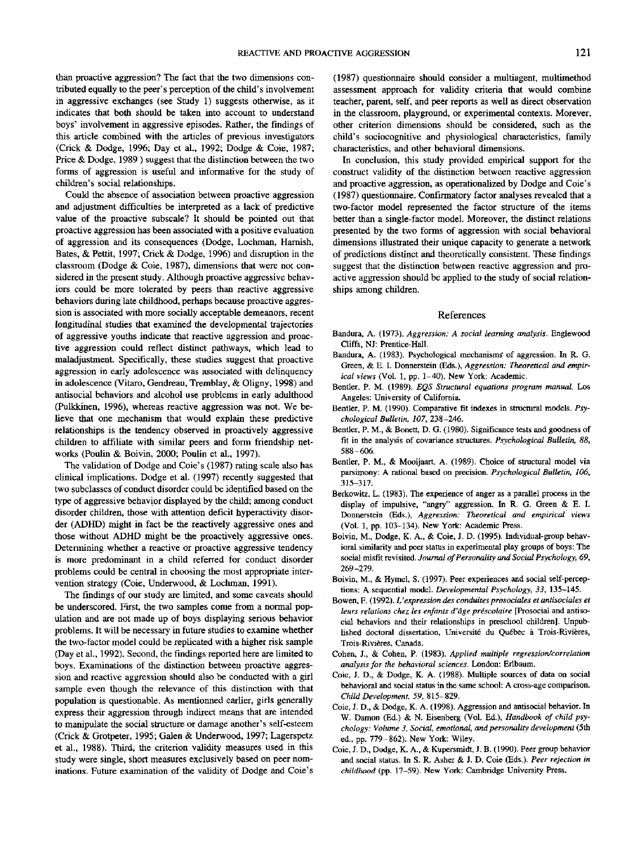than proactive aggression? The fact that the two dimensions contributed equally to the peer's perception of the child's involvement in aggressive exchanges (see Study 1) suggests otherwise, as it indicates that both should be taken into account to understand boys' involvement in aggressive episodes. Rather, the findings of this article combined with the articles of previous investigators (Crick & Dodge, 1996; Day et *si.,* 1992; Dodge & Coie, 1987; Price & Dodge, 1989 ) suggest that the distinction between the two forms of aggression is useful and informative for the study of children's social relationships.

Could the absence of association between proactive aggression and adjustment difficulties be interpreted as a lack of predictive value of the proactive subscale? It should be pointed out that proactive aggression has been associated with a positive evaluation of aggression and its consequences (Dodge, Lochman, Harnish, Bates, & Pettit, 1997; Crick & Dodge, 1996) and disruption in the classroom (Dodge & Coie, 1987), dimensions that were not considered in the present study. Although proactive aggressive behaviors could be more tolerated by peers than reactive aggressive behaviors during late childhood, perhaps because proactive aggression is associated with more socially acceptable demeanors, recent longitudinal studies that examined the developmental trajectories of aggressive youths indicate that reactive aggression and proactive aggression could reflect distinct pathways, which lead to maladjustment. Specifically, these studies suggest that proactive aggression in early adolescence was associated with delinquency in adolescence (Vitaro, Gendreau, Tremblay, & Oligny, 1998) and antisocial behaviors and alcohol use problems in early adulthood (Pulkkinen, 1996), whereas reactive aggression was not. We believe that one mechanism that would explain these predictive relationships is the tendency observed in proactively aggressive children to affiliate with similar peers and form friendship networks (Poulin & Boivin, 2000; Poulin et al., 1997).

The validation of Dodge and Coie's (1987) rating scale also has clinical implications. Dodge et al. (1997) recently suggested that two subclasses of conduct disorder could be identified based on the type of aggressive behavior displayed by the child; among conduct disorder children, those with attention deficit hyperactivity disorder (ADHD) might in fact be the reactively aggressive ones and those without ADHD might be the proactively aggressive ones. Determining whether a reactive or proactive aggressive tendency is more predominant in a child referred for conduct disorder problems could be central in choosing the most appropriate intervention strategy (Coie, Underwood, & Lochman, 1991).

The findings of our study are limited, and some caveats should be underscored. First, the two samples come from a normal population and are not made up of boys displaying serious behavior problems. It will be necessary in future studies to examine whether the two-factor model could be replicated with a higher risk sample (Day et al., 1992). Second, the findings reported here are limited to boys. Examinations of the distinction between proactive aggression and reactive aggression should also be conducted with a girl sample even though the relevance of this distinction with that population is questionable. As mentionned earlier, girls generally express their aggression through indirect means that are intended to manipulate the social structure or damage another's self-esteem (Crick & Grotpeter, 1995; Galen & Underwood, 1997; Lagerspetz et al., 1988). Third, the criterion validity measures used in this study were single, short measures exclusively based on peer nominations. Future examination of the validity of Dodge and Coie's

(1987) questionnaire should consider a multiagent, multimethod assessment approach for validity criteria that would combine teacher, parent, self, and peer reports as well as direct observation in the classroom, playground, or experimental contexts. Morever, other criterion dimensions should be considered, such as the child's sociocognitive and physiological characteristics, family characteristics, and other behavioral dimensions.

In conclusion, this study provided empirical support for the construct validity of the distinction between reactive aggression and proactive aggression, as operationalized by Dodge and Coie's (1987) questionnaire. Confirmatory factor analyses revealed that a two-factor model represented the factor structure of the items better than a single-factor model. Moreover, the distinct relations presented by the two forms of aggression with social behavioral dimensions illustrated their unique capacity to generate a network of predictions distinct and theoretically consistent. These findings suggest that the distinction between reactive aggression and proactive aggression should be applied to the study of social relationships among children.

#### References

- Bandura, A. (1973). *Aggression: A social learning analysis.* Englewood Cliffs, NJ: Prentice-Hall.
- Bandura, A. (1983). Psychological mechanisms' of aggression. In R. G. Green, & E. I. Donnerstein (Eds.), *Aggression: Theoretical and empirical views* (Vol. 1, pp. 1-40). New York: Academic.
- Bentler, P. M. (1989). *EQS Structural equations program manual.* Los Angeles: University of California.
- Bentler, P. M. (1990). Comparative fit indexes in structural models. *Psychological Bulletin, 107,* 238-246.
- Bentler, P. M., & Bonett, D. G. (1980). Significance tests and goodness of fit in the analysis of covariance structures. *Psychological Bulletin, 88,* 588-606.
- Bentler, P. M., & Mooijaart, A. (1989). Choice of structural model via parsimony: A rational based on precision. *Psychological Bulletin, 106,* 315-317.
- Berkowitz, L. (1983). The experience of anger as a parallel process in the display of impulsive, "angry" aggression. In R. G. Green & E. I. Donnerstein (Eds.), *Aggression: Theoretical and empirical views* (Vol. 1, pp. 103-134). New York: Academic Press.
- Boivin, M., Dodge, K. A., & Coie, J. D. (1995). Individual-group behavioral similarity and peer status in experimental play groups of boys: The social misfit revisited. *Journal of Personality and Social Psychology, 69,* 269-279.
- Boivin, M., & Hvmel, S. (1997). Peer experiences and social self-perceptions: A sequential model. *Developmental Psychology, 33,* 135—145.
- Bowen, F. (1992). *L<sup>1</sup> expression des conduitesprosociales et antisociales et leurs relations chez les enfants d'âge préscolaire* [Prosocial and antisocial behaviors and their relationships in preschool children]. Unpublished doctoral dissertation, Université du Québec à Trois-Rivières, Trois-Rivieres, Canada.
- Cohen, J., & Cohen, P. (1983). *Applied multiple regression/correlation analysis for the behavioral sciences.* London: Erlbaum.
- Coie, J. D., & Dodge, K. A. (1988). Multiple sources of data on social behavioral and social status in the same school: A cross-age comparison. *Child Development, 59,* 815-829.
- Coie, J. D., & Dodge, K. A. (1998). Aggression and antisocial behavior. In W. Damon (Ed.) & N. Eisenberg (Vol. Ed.), *Handbook of child psychology: Volume 3. Social, emotional, and personality development* (5th ed., pp. 779-862). New York: Wiley.
- Coie, J. D., Dodge, K. A.. & Kupersmidt, J. B. (1990). Peer group behavior and social status. In S. R. Asher & J. D. Coie (Eds.). *Peer rejection in childhood* (pp. 17-59). New York: Cambridge University Press.